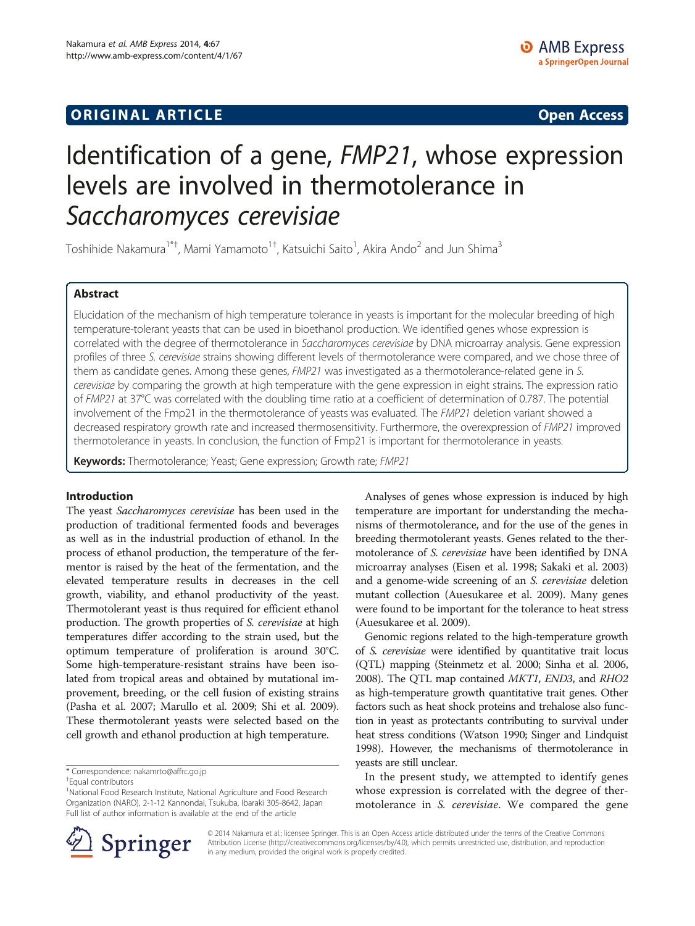# **ORIGINAL ARTICLE CONSUMING A LIGACION CONSUMING A LIGACION CONSUMING A LIGACION**

# Identification of a gene, FMP21, whose expression levels are involved in thermotolerance in Saccharomyces cerevisiae

Toshihide Nakamura<sup>1\*†</sup>, Mami Yamamoto<sup>1†</sup>, Katsuichi Saito<sup>1</sup>, Akira Ando<sup>2</sup> and Jun Shima<sup>3</sup>

## Abstract

Elucidation of the mechanism of high temperature tolerance in yeasts is important for the molecular breeding of high temperature-tolerant yeasts that can be used in bioethanol production. We identified genes whose expression is correlated with the degree of thermotolerance in Saccharomyces cerevisiae by DNA microarray analysis. Gene expression profiles of three S. cerevisiae strains showing different levels of thermotolerance were compared, and we chose three of them as candidate genes. Among these genes, FMP21 was investigated as a thermotolerance-related gene in S. cerevisiae by comparing the growth at high temperature with the gene expression in eight strains. The expression ratio of FMP21 at 37°C was correlated with the doubling time ratio at a coefficient of determination of 0.787. The potential involvement of the Fmp21 in the thermotolerance of yeasts was evaluated. The FMP21 deletion variant showed a decreased respiratory growth rate and increased thermosensitivity. Furthermore, the overexpression of FMP21 improved thermotolerance in yeasts. In conclusion, the function of Fmp21 is important for thermotolerance in yeasts.

Keywords: Thermotolerance; Yeast; Gene expression; Growth rate; FMP21

#### Introduction

The yeast Saccharomyces cerevisiae has been used in the production of traditional fermented foods and beverages as well as in the industrial production of ethanol. In the process of ethanol production, the temperature of the fermentor is raised by the heat of the fermentation, and the elevated temperature results in decreases in the cell growth, viability, and ethanol productivity of the yeast. Thermotolerant yeast is thus required for efficient ethanol production. The growth properties of S. cerevisiae at high temperatures differ according to the strain used, but the optimum temperature of proliferation is around 30°C. Some high-temperature-resistant strains have been isolated from tropical areas and obtained by mutational improvement, breeding, or the cell fusion of existing strains (Pasha et al. [2007](#page-6-0); Marullo et al. [2009;](#page-6-0) Shi et al. [2009](#page-6-0)). These thermotolerant yeasts were selected based on the cell growth and ethanol production at high temperature.

\* Correspondence: [nakamrto@affrc.go.jp](mailto:nakamrto@affrc.go.jp) †

Analyses of genes whose expression is induced by high temperature are important for understanding the mechanisms of thermotolerance, and for the use of the genes in breeding thermotolerant yeasts. Genes related to the thermotolerance of S. cerevisiae have been identified by DNA microarray analyses (Eisen et al. [1998](#page-6-0); Sakaki et al. [2003](#page-6-0)) and a genome-wide screening of an S. cerevisiae deletion mutant collection (Auesukaree et al. [2009\)](#page-6-0). Many genes were found to be important for the tolerance to heat stress (Auesukaree et al. [2009\)](#page-6-0).

Genomic regions related to the high-temperature growth of S. cerevisiae were identified by quantitative trait locus (QTL) mapping (Steinmetz et al. [2000](#page-7-0); Sinha et al. [2006](#page-6-0), [2008\)](#page-6-0). The QTL map contained MKT1, END3, and RHO2 as high-temperature growth quantitative trait genes. Other factors such as heat shock proteins and trehalose also function in yeast as protectants contributing to survival under heat stress conditions (Watson [1990;](#page-7-0) Singer and Lindquist [1998\)](#page-6-0). However, the mechanisms of thermotolerance in yeasts are still unclear.

In the present study, we attempted to identify genes whose expression is correlated with the degree of thermotolerance in *S. cerevisiae*. We compared the gene



© 2014 Nakamura et al.; licensee Springer. This is an Open Access article distributed under the terms of the Creative Commons Attribution License [\(http://creativecommons.org/licenses/by/4.0\)](http://creativecommons.org/licenses/by/4.0), which permits unrestricted use, distribution, and reproduction in any medium, provided the original work is properly credited.

Equal contributors

<sup>&</sup>lt;sup>1</sup>National Food Research Institute, National Agriculture and Food Research Organization (NARO), 2-1-12 Kannondai, Tsukuba, Ibaraki 305-8642, Japan Full list of author information is available at the end of the article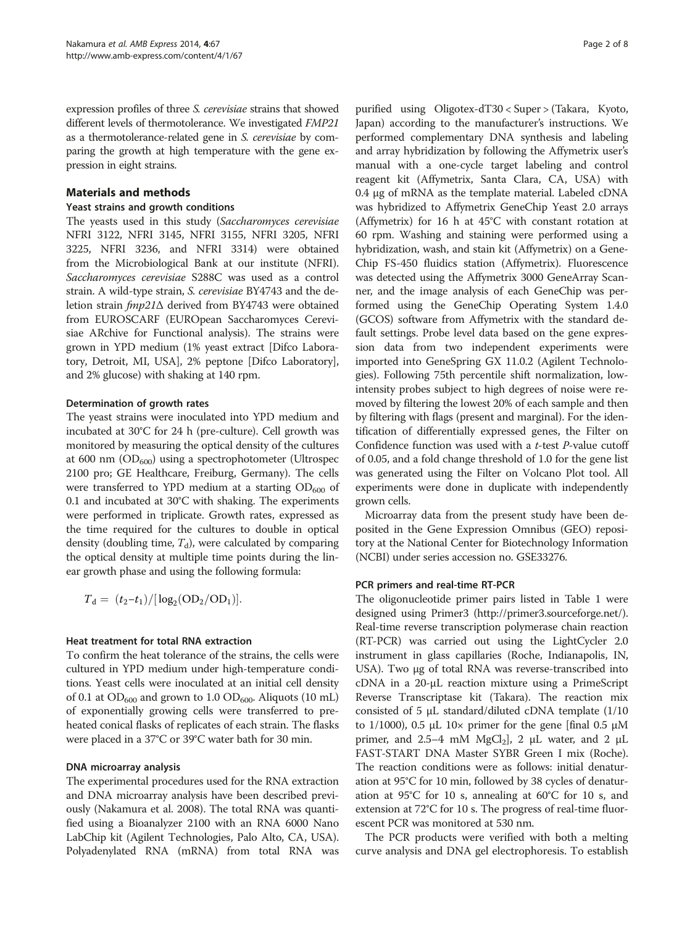expression profiles of three S. cerevisiae strains that showed different levels of thermotolerance. We investigated FMP21 as a thermotolerance-related gene in S. cerevisiae by comparing the growth at high temperature with the gene expression in eight strains.

#### Materials and methods

#### Yeast strains and growth conditions

The yeasts used in this study (Saccharomyces cerevisiae NFRI 3122, NFRI 3145, NFRI 3155, NFRI 3205, NFRI 3225, NFRI 3236, and NFRI 3314) were obtained from the Microbiological Bank at our institute (NFRI). Saccharomyces cerevisiae S288C was used as a control strain. A wild-type strain, S. cerevisiae BY4743 and the deletion strain fmp21Δ derived from BY4743 were obtained from EUROSCARF (EUROpean Saccharomyces Cerevisiae ARchive for Functional analysis). The strains were grown in YPD medium (1% yeast extract [Difco Laboratory, Detroit, MI, USA], 2% peptone [Difco Laboratory], and 2% glucose) with shaking at 140 rpm.

#### Determination of growth rates

The yeast strains were inoculated into YPD medium and incubated at 30°C for 24 h (pre-culture). Cell growth was monitored by measuring the optical density of the cultures at 600 nm  $OD_{600}$ ) using a spectrophotometer (Ultrospec 2100 pro; GE Healthcare, Freiburg, Germany). The cells were transferred to YPD medium at a starting  $OD_{600}$  of 0.1 and incubated at 30°C with shaking. The experiments were performed in triplicate. Growth rates, expressed as the time required for the cultures to double in optical density (doubling time,  $T_d$ ), were calculated by comparing the optical density at multiple time points during the linear growth phase and using the following formula:

$$
T_{d} = (t_{2} - t_{1})/[\log_{2}(\text{OD}_{2}/\text{OD}_{1})].
$$

#### Heat treatment for total RNA extraction

To confirm the heat tolerance of the strains, the cells were cultured in YPD medium under high-temperature conditions. Yeast cells were inoculated at an initial cell density of 0.1 at  $OD_{600}$  and grown to 1.0  $OD_{600}$ . Aliquots (10 mL) of exponentially growing cells were transferred to preheated conical flasks of replicates of each strain. The flasks were placed in a 37°C or 39°C water bath for 30 min.

#### DNA microarray analysis

The experimental procedures used for the RNA extraction and DNA microarray analysis have been described previously (Nakamura et al. [2008](#page-6-0)). The total RNA was quantified using a Bioanalyzer 2100 with an RNA 6000 Nano LabChip kit (Agilent Technologies, Palo Alto, CA, USA). Polyadenylated RNA (mRNA) from total RNA was

purified using Oligotex-dT30 < Super > (Takara, Kyoto, Japan) according to the manufacturer's instructions. We performed complementary DNA synthesis and labeling and array hybridization by following the Affymetrix user's manual with a one-cycle target labeling and control reagent kit (Affymetrix, Santa Clara, CA, USA) with 0.4 μg of mRNA as the template material. Labeled cDNA was hybridized to Affymetrix GeneChip Yeast 2.0 arrays (Affymetrix) for 16 h at 45°C with constant rotation at 60 rpm. Washing and staining were performed using a hybridization, wash, and stain kit (Affymetrix) on a Gene-Chip FS-450 fluidics station (Affymetrix). Fluorescence was detected using the Affymetrix 3000 GeneArray Scanner, and the image analysis of each GeneChip was performed using the GeneChip Operating System 1.4.0 (GCOS) software from Affymetrix with the standard default settings. Probe level data based on the gene expression data from two independent experiments were imported into GeneSpring GX 11.0.2 (Agilent Technologies). Following 75th percentile shift normalization, lowintensity probes subject to high degrees of noise were removed by filtering the lowest 20% of each sample and then by filtering with flags (present and marginal). For the identification of differentially expressed genes, the Filter on Confidence function was used with a t-test P-value cutoff of 0.05, and a fold change threshold of 1.0 for the gene list was generated using the Filter on Volcano Plot tool. All experiments were done in duplicate with independently grown cells.

Microarray data from the present study have been deposited in the Gene Expression Omnibus (GEO) repository at the National Center for Biotechnology Information (NCBI) under series accession no. GSE33276.

#### PCR primers and real-time RT-PCR

The oligonucleotide primer pairs listed in Table [1](#page-2-0) were designed using Primer3 [\(http://primer3.sourceforge.net/](http://primer3.sourceforge.net/)). Real-time reverse transcription polymerase chain reaction (RT-PCR) was carried out using the LightCycler 2.0 instrument in glass capillaries (Roche, Indianapolis, IN, USA). Two μg of total RNA was reverse-transcribed into cDNA in a 20-μL reaction mixture using a PrimeScript Reverse Transcriptase kit (Takara). The reaction mix consisted of 5 μL standard/diluted cDNA template (1/10 to 1/1000), 0.5 μL 10 $\times$  primer for the gene [final 0.5 μM primer, and 2.5–4 mM MgCl<sub>2</sub>], 2  $\mu$ L water, and 2  $\mu$ L FAST-START DNA Master SYBR Green I mix (Roche). The reaction conditions were as follows: initial denaturation at 95°C for 10 min, followed by 38 cycles of denaturation at 95°C for 10 s, annealing at 60°C for 10 s, and extension at 72°C for 10 s. The progress of real-time fluorescent PCR was monitored at 530 nm.

The PCR products were verified with both a melting curve analysis and DNA gel electrophoresis. To establish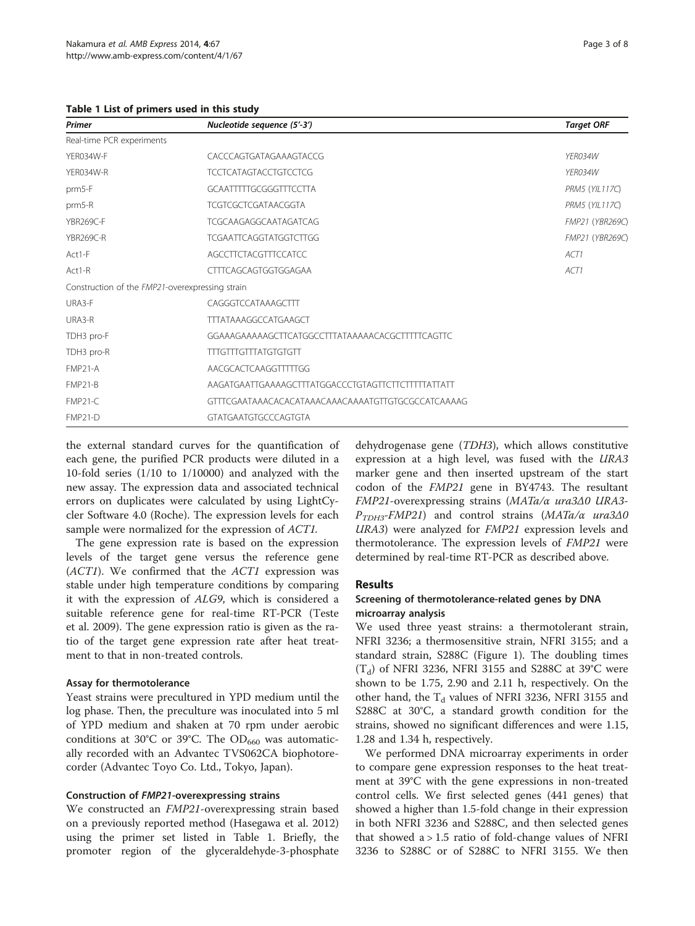<span id="page-2-0"></span>Table 1 List of primers used in this study

| Primer                                          | Nucleotide sequence (5'-3')                        | <b>Target ORF</b>      |
|-------------------------------------------------|----------------------------------------------------|------------------------|
| Real-time PCR experiments                       |                                                    |                        |
| YER034W-F                                       | CACCCAGTGATAGAAAGTACCG                             | YFR034W                |
| YFR034W-R                                       | <b>TCCTCATAGTACCTGTCCTCG</b>                       | YFR034W                |
| prm5-F                                          | GCAATTTTGCGGGTTTCCTTA                              | <b>PRM5 (YIL117C)</b>  |
| prm5-R                                          | <b>TCGTCGCTCGATAACGGTA</b>                         | <b>PRM5 (YIL117C)</b>  |
| <b>YBR269C-F</b>                                | <b>TCGCAAGAGGCAATAGATCAG</b>                       | <b>FMP21 (YBR269C)</b> |
| YBR269C-R                                       | <b>TCGAATTCAGGTATGGTCTTGG</b>                      | FMP21 (YBR269C)        |
| Act1-F                                          | AGCCTTCTACGTTTCCATCC                               | ACT1                   |
| Act1-R                                          | CTTTCAGCAGTGGTGGAGAA                               | ACT1                   |
| Construction of the FMP21-overexpressing strain |                                                    |                        |
| URA3-F                                          | CAGGGTCCATAAAGCTTT                                 |                        |
| URA3-R                                          | <b>TTTATAAAGGCCATGAAGCT</b>                        |                        |
| TDH3 pro-F                                      | GGAAAGAAAAAGCTTCATGGCCTTTATAAAAACACGCTTTTTCAGTTC   |                        |
| TDH3 pro-R                                      | <b>TTTGTTTGTTTATGTGTGTT</b>                        |                        |
| FMP21-A                                         | AACGCACTCAAGGTTTTGG                                |                        |
| FMP <sub>21-B</sub>                             | AAGATGAATTGAAAAGCTTTATGGACCCTGTAGTTCTTCTTTTATTATT  |                        |
| FMP21-C                                         | GTTTCGAATAAACACACATAAACAAACAAAATGTTGTGCGCCATCAAAAG |                        |
| FMP21-D                                         | <b>GTATGAATGTGCCCAGTGTA</b>                        |                        |

the external standard curves for the quantification of each gene, the purified PCR products were diluted in a 10-fold series (1/10 to 1/10000) and analyzed with the new assay. The expression data and associated technical errors on duplicates were calculated by using LightCycler Software 4.0 (Roche). The expression levels for each sample were normalized for the expression of ACT1.

The gene expression rate is based on the expression levels of the target gene versus the reference gene (ACT1). We confirmed that the ACT1 expression was stable under high temperature conditions by comparing it with the expression of ALG9, which is considered a suitable reference gene for real-time RT-PCR (Teste et al. [2009](#page-7-0)). The gene expression ratio is given as the ratio of the target gene expression rate after heat treatment to that in non-treated controls.

## Assay for thermotolerance

Yeast strains were precultured in YPD medium until the log phase. Then, the preculture was inoculated into 5 ml of YPD medium and shaken at 70 rpm under aerobic conditions at 30°C or 39°C. The  $OD_{660}$  was automatically recorded with an Advantec TVS062CA biophotorecorder (Advantec Toyo Co. Ltd., Tokyo, Japan).

## Construction of FMP21-overexpressing strains

We constructed an FMP21-overexpressing strain based on a previously reported method (Hasegawa et al. [2012](#page-6-0)) using the primer set listed in Table 1. Briefly, the promoter region of the glyceraldehyde-3-phosphate

dehydrogenase gene (TDH3), which allows constitutive expression at a high level, was fused with the URA3 marker gene and then inserted upstream of the start codon of the FMP21 gene in BY4743. The resultant FMP21-overexpressing strains (MATa/α ura3Δ0 URA3-  $P_{TDH3}$ -FMP21) and control strains (MATa/α ura3Δ0 URA3) were analyzed for FMP21 expression levels and thermotolerance. The expression levels of FMP21 were determined by real-time RT-PCR as described above.

## Results

## Screening of thermotolerance-related genes by DNA microarray analysis

We used three yeast strains: a thermotolerant strain, NFRI 3236; a thermosensitive strain, NFRI 3155; and a standard strain, S288C (Figure [1\)](#page-3-0). The doubling times  $(T_d)$  of NFRI 3236, NFRI 3155 and S288C at 39°C were shown to be 1.75, 2.90 and 2.11 h, respectively. On the other hand, the  $T_d$  values of NFRI 3236, NFRI 3155 and S288C at 30°C, a standard growth condition for the strains, showed no significant differences and were 1.15, 1.28 and 1.34 h, respectively.

We performed DNA microarray experiments in order to compare gene expression responses to the heat treatment at 39°C with the gene expressions in non-treated control cells. We first selected genes (441 genes) that showed a higher than 1.5-fold change in their expression in both NFRI 3236 and S288C, and then selected genes that showed  $a > 1.5$  ratio of fold-change values of NFRI 3236 to S288C or of S288C to NFRI 3155. We then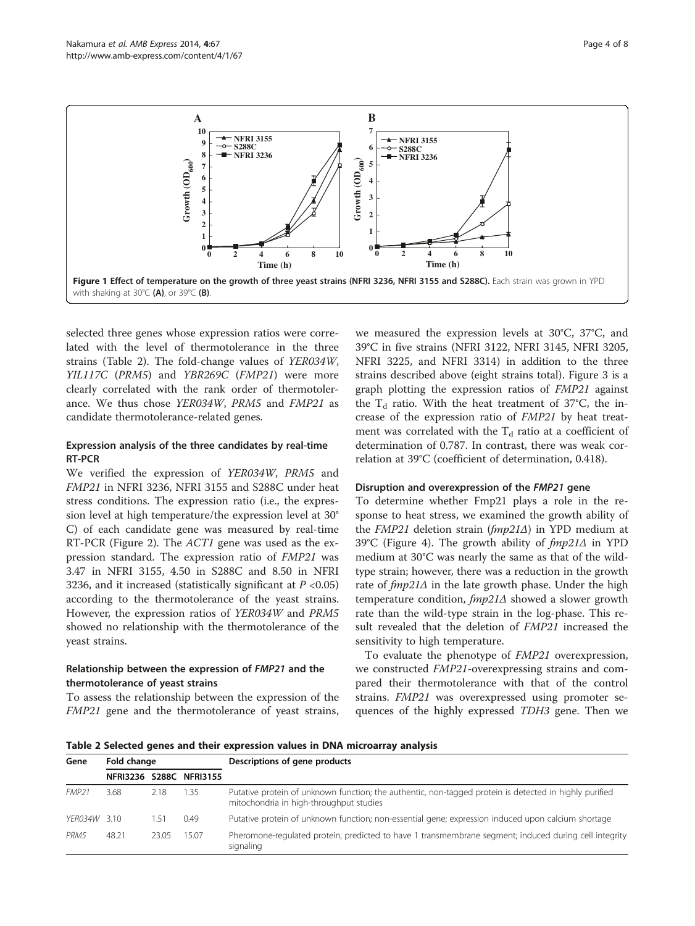<span id="page-3-0"></span>

selected three genes whose expression ratios were correlated with the level of thermotolerance in the three strains (Table 2). The fold-change values of YER034W, YIL117C (PRM5) and YBR269C (FMP21) were more clearly correlated with the rank order of thermotolerance. We thus chose YER034W, PRM5 and FMP21 as candidate thermotolerance-related genes.

## Expression analysis of the three candidates by real-time RT-PCR

We verified the expression of YER034W, PRM5 and FMP21 in NFRI 3236, NFRI 3155 and S288C under heat stress conditions. The expression ratio (i.e., the expression level at high temperature/the expression level at 30° C) of each candidate gene was measured by real-time RT-PCR (Figure [2](#page-4-0)). The ACT1 gene was used as the expression standard. The expression ratio of FMP21 was 3.47 in NFRI 3155, 4.50 in S288C and 8.50 in NFRI 3236, and it increased (statistically significant at  $P < 0.05$ ) according to the thermotolerance of the yeast strains. However, the expression ratios of YER034W and PRM5 showed no relationship with the thermotolerance of the yeast strains.

## Relationship between the expression of FMP21 and the thermotolerance of yeast strains

To assess the relationship between the expression of the FMP21 gene and the thermotolerance of yeast strains,

we measured the expression levels at 30°C, 37°C, and 39°C in five strains (NFRI 3122, NFRI 3145, NFRI 3205, NFRI 3225, and NFRI 3314) in addition to the three strains described above (eight strains total). Figure [3](#page-4-0) is a graph plotting the expression ratios of FMP21 against the  $T_d$  ratio. With the heat treatment of 37°C, the increase of the expression ratio of FMP21 by heat treatment was correlated with the  $T<sub>d</sub>$  ratio at a coefficient of determination of 0.787. In contrast, there was weak correlation at 39°C (coefficient of determination, 0.418).

## Disruption and overexpression of the FMP21 gene

To determine whether Fmp21 plays a role in the response to heat stress, we examined the growth ability of the FMP21 deletion strain (fmp21Δ) in YPD medium at 39°C (Figure [4\)](#page-5-0). The growth ability of  $fmp21∆$  in YPD medium at 30°C was nearly the same as that of the wildtype strain; however, there was a reduction in the growth rate of  $fmp21\Delta$  in the late growth phase. Under the high temperature condition,  $fmp21∆$  showed a slower growth rate than the wild-type strain in the log-phase. This result revealed that the deletion of FMP21 increased the sensitivity to high temperature.

To evaluate the phenotype of FMP21 overexpression, we constructed FMP21-overexpressing strains and compared their thermotolerance with that of the control strains. FMP21 was overexpressed using promoter sequences of the highly expressed TDH3 gene. Then we

Table 2 Selected genes and their expression values in DNA microarray analysis

| Gene              | Fold change |       |                         | Descriptions of gene products                                                                                                                     |
|-------------------|-------------|-------|-------------------------|---------------------------------------------------------------------------------------------------------------------------------------------------|
|                   |             |       | NFRI3236 S288C NFRI3155 |                                                                                                                                                   |
| FMP <sub>21</sub> | 3.68        | 2.18  | 1.35                    | Putative protein of unknown function; the authentic, non-tagged protein is detected in highly purified<br>mitochondria in high-throughput studies |
| YFR034W 3.10      |             | 1.51  | 0.49                    | Putative protein of unknown function; non-essential gene; expression induced upon calcium shortage                                                |
| PRM <sub>5</sub>  | 48.21       | 23.05 | 15.07                   | Pheromone-regulated protein, predicted to have 1 transmembrane segment; induced during cell integrity<br>signaling                                |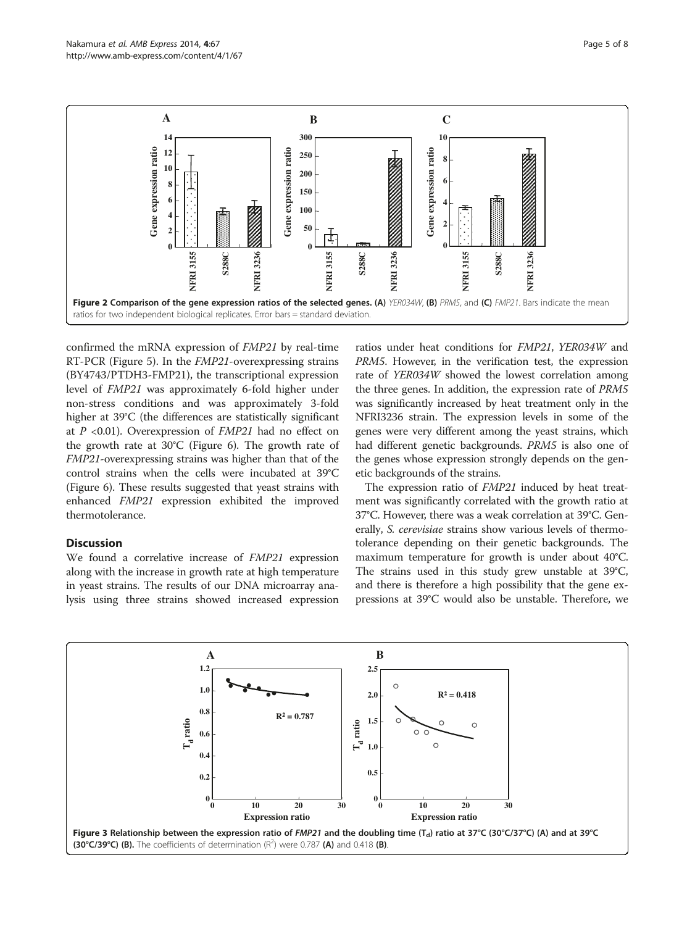<span id="page-4-0"></span>

confirmed the mRNA expression of FMP21 by real-time RT-PCR (Figure [5\)](#page-5-0). In the FMP21-overexpressing strains (BY4743/PTDH3-FMP21), the transcriptional expression level of FMP21 was approximately 6-fold higher under non-stress conditions and was approximately 3-fold higher at 39°C (the differences are statistically significant at  $P \leq 0.01$ ). Overexpression of  $FMP21$  had no effect on the growth rate at 30°C (Figure [6\)](#page-5-0). The growth rate of FMP21-overexpressing strains was higher than that of the control strains when the cells were incubated at 39°C (Figure [6](#page-5-0)). These results suggested that yeast strains with enhanced FMP21 expression exhibited the improved thermotolerance.

## **Discussion**

We found a correlative increase of FMP21 expression along with the increase in growth rate at high temperature in yeast strains. The results of our DNA microarray analysis using three strains showed increased expression ratios under heat conditions for FMP21, YER034W and PRM5. However, in the verification test, the expression rate of YER034W showed the lowest correlation among the three genes. In addition, the expression rate of PRM5 was significantly increased by heat treatment only in the NFRI3236 strain. The expression levels in some of the genes were very different among the yeast strains, which had different genetic backgrounds. PRM5 is also one of the genes whose expression strongly depends on the genetic backgrounds of the strains.

The expression ratio of FMP21 induced by heat treatment was significantly correlated with the growth ratio at 37°C. However, there was a weak correlation at 39°C. Generally, S. cerevisiae strains show various levels of thermotolerance depending on their genetic backgrounds. The maximum temperature for growth is under about 40°C. The strains used in this study grew unstable at 39°C, and there is therefore a high possibility that the gene expressions at 39°C would also be unstable. Therefore, we

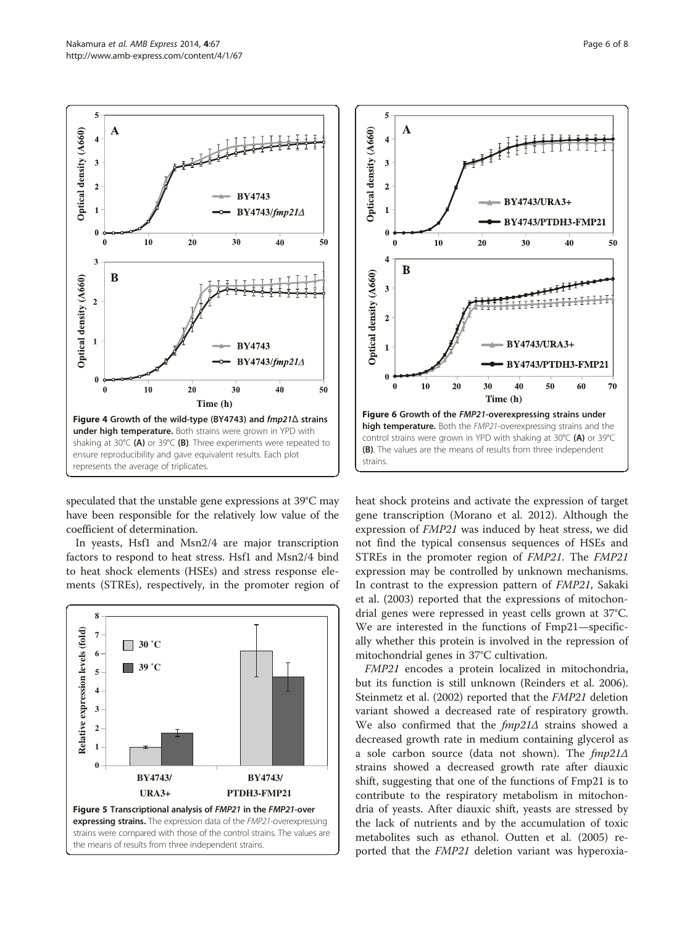5

<span id="page-5-0"></span>

speculated that the unstable gene expressions at 39°C may have been responsible for the relatively low value of the coefficient of determination.

In yeasts, Hsf1 and Msn2/4 are major transcription factors to respond to heat stress. Hsf1 and Msn2/4 bind to heat shock elements (HSEs) and stress response elements (STREs), respectively, in the promoter region of





heat shock proteins and activate the expression of target gene transcription (Morano et al. [2012](#page-6-0)). Although the expression of FMP21 was induced by heat stress, we did not find the typical consensus sequences of HSEs and STREs in the promoter region of FMP21. The FMP21 expression may be controlled by unknown mechanisms. In contrast to the expression pattern of FMP21, Sakaki et al. ([2003\)](#page-6-0) reported that the expressions of mitochondrial genes were repressed in yeast cells grown at 37°C. We are interested in the functions of Fmp21—specifically whether this protein is involved in the repression of mitochondrial genes in 37°C cultivation.

FMP21 encodes a protein localized in mitochondria, but its function is still unknown (Reinders et al. [2006](#page-6-0)). Steinmetz et al. [\(2002\)](#page-7-0) reported that the FMP21 deletion variant showed a decreased rate of respiratory growth. We also confirmed that the  $fmp21\Delta$  strains showed a decreased growth rate in medium containing glycerol as a sole carbon source (data not shown). The  $fmp21\Delta$ strains showed a decreased growth rate after diauxic shift, suggesting that one of the functions of Fmp21 is to contribute to the respiratory metabolism in mitochondria of yeasts. After diauxic shift, yeasts are stressed by the lack of nutrients and by the accumulation of toxic metabolites such as ethanol. Outten et al. ([2005](#page-6-0)) reported that the FMP21 deletion variant was hyperoxia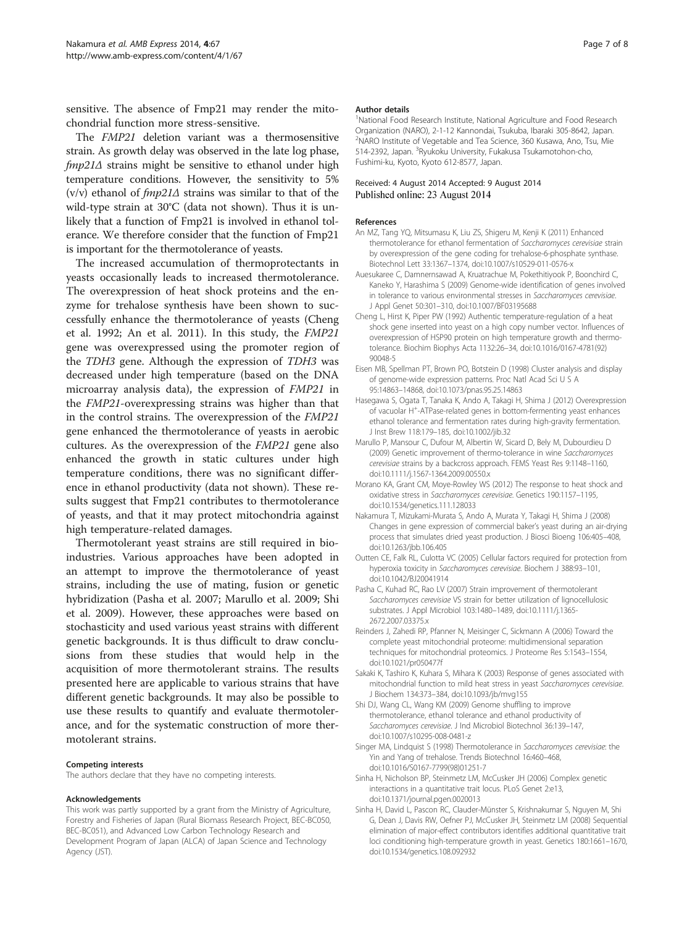<span id="page-6-0"></span>sensitive. The absence of Fmp21 may render the mitochondrial function more stress-sensitive.

The FMP21 deletion variant was a thermosensitive strain. As growth delay was observed in the late log phase, fmp21∆ strains might be sensitive to ethanol under high temperature conditions. However, the sensitivity to 5% (v/v) ethanol of  $fmp21\Delta$  strains was similar to that of the wild-type strain at 30°C (data not shown). Thus it is unlikely that a function of Fmp21 is involved in ethanol tolerance. We therefore consider that the function of Fmp21 is important for the thermotolerance of yeasts.

The increased accumulation of thermoprotectants in yeasts occasionally leads to increased thermotolerance. The overexpression of heat shock proteins and the enzyme for trehalose synthesis have been shown to successfully enhance the thermotolerance of yeasts (Cheng et al. 1992; An et al. 2011). In this study, the FMP21 gene was overexpressed using the promoter region of the TDH3 gene. Although the expression of TDH3 was decreased under high temperature (based on the DNA microarray analysis data), the expression of FMP21 in the FMP21-overexpressing strains was higher than that in the control strains. The overexpression of the FMP21 gene enhanced the thermotolerance of yeasts in aerobic cultures. As the overexpression of the FMP21 gene also enhanced the growth in static cultures under high temperature conditions, there was no significant difference in ethanol productivity (data not shown). These results suggest that Fmp21 contributes to thermotolerance of yeasts, and that it may protect mitochondria against high temperature-related damages.

Thermotolerant yeast strains are still required in bioindustries. Various approaches have been adopted in an attempt to improve the thermotolerance of yeast strains, including the use of mating, fusion or genetic hybridization (Pasha et al. 2007; Marullo et al. 2009; Shi et al. 2009). However, these approaches were based on stochasticity and used various yeast strains with different genetic backgrounds. It is thus difficult to draw conclusions from these studies that would help in the acquisition of more thermotolerant strains. The results presented here are applicable to various strains that have different genetic backgrounds. It may also be possible to use these results to quantify and evaluate thermotolerance, and for the systematic construction of more thermotolerant strains.

#### Competing interests

The authors declare that they have no competing interests.

#### Acknowledgements

This work was partly supported by a grant from the Ministry of Agriculture, Forestry and Fisheries of Japan (Rural Biomass Research Project, BEC-BC050, BEC-BC051), and Advanced Low Carbon Technology Research and Development Program of Japan (ALCA) of Japan Science and Technology Agency (JST).

#### Author details

<sup>1</sup>National Food Research Institute, National Agriculture and Food Research Organization (NARO), 2-1-12 Kannondai, Tsukuba, Ibaraki 305-8642, Japan. 2 NARO Institute of Vegetable and Tea Science, 360 Kusawa, Ano, Tsu, Mie 514-2392, Japan. <sup>3</sup> Ryukoku University, Fukakusa Tsukamotohon-cho, Fushimi-ku, Kyoto, Kyoto 612-8577, Japan.

#### Received: 4 August 2014 Accepted: 9 August 2014 Published online: 23 August 2014

#### References

- An MZ, Tang YQ, Mitsumasu K, Liu ZS, Shigeru M, Kenji K (2011) Enhanced thermotolerance for ethanol fermentation of Saccharomyces cerevisiae strain by overexpression of the gene coding for trehalose-6-phosphate synthase. Biotechnol Lett 33:1367–1374, doi:10.1007/s10529-011-0576-x
- Auesukaree C, Damnernsawad A, Kruatrachue M, Pokethitiyook P, Boonchird C, Kaneko Y, Harashima S (2009) Genome-wide identification of genes involved in tolerance to various environmental stresses in Saccharomyces cerevisiae. J Appl Genet 50:301–310, doi:10.1007/BF03195688
- Cheng L, Hirst K, Piper PW (1992) Authentic temperature-regulation of a heat shock gene inserted into yeast on a high copy number vector. Influences of overexpression of HSP90 protein on high temperature growth and thermotolerance. Biochim Biophys Acta 1132:26–34, doi:10.1016/0167-4781(92) 90048-5
- Eisen MB, Spellman PT, Brown PO, Botstein D (1998) Cluster analysis and display of genome-wide expression patterns. Proc Natl Acad Sci U S A 95:14863–14868, doi:10.1073/pnas.95.25.14863
- Hasegawa S, Ogata T, Tanaka K, Ando A, Takagi H, Shima J (2012) Overexpression of vacuolar H<sup>+</sup>-ATPase-related genes in bottom-fermenting yeast enhances ethanol tolerance and fermentation rates during high-gravity fermentation. J Inst Brew 118:179–185, doi:10.1002/jib.32
- Marullo P, Mansour C, Dufour M, Albertin W, Sicard D, Bely M, Dubourdieu D (2009) Genetic improvement of thermo-tolerance in wine Saccharomyces cerevisiae strains by a backcross approach. FEMS Yeast Res 9:1148–1160, doi:10.1111/j.1567-1364.2009.00550.x
- Morano KA, Grant CM, Moye-Rowley WS (2012) The response to heat shock and oxidative stress in Saccharomyces cerevisiae. Genetics 190:1157–1195, doi:10.1534/genetics.111.128033
- Nakamura T, Mizukami-Murata S, Ando A, Murata Y, Takagi H, Shima J (2008) Changes in gene expression of commercial baker's yeast during an air-drying process that simulates dried yeast production. J Biosci Bioeng 106:405–408, doi:10.1263/jbb.106.405
- Outten CE, Falk RL, Culotta VC (2005) Cellular factors required for protection from hyperoxia toxicity in Saccharomyces cerevisiae. Biochem J 388:93–101, doi:10.1042/BJ20041914
- Pasha C, Kuhad RC, Rao LV (2007) Strain improvement of thermotolerant Saccharomyces cerevisiae VS strain for better utilization of lignocellulosic substrates. J Appl Microbiol 103:1480–1489, doi:10.1111/j.1365- 2672.2007.03375.x
- Reinders J, Zahedi RP, Pfanner N, Meisinger C, Sickmann A (2006) Toward the complete yeast mitochondrial proteome: multidimensional separation techniques for mitochondrial proteomics. J Proteome Res 5:1543–1554, doi:10.1021/pr050477f
- Sakaki K, Tashiro K, Kuhara S, Mihara K (2003) Response of genes associated with mitochondrial function to mild heat stress in yeast Saccharomyces cerevisiae. J Biochem 134:373–384, doi:10.1093/jb/mvg155
- Shi DJ, Wang CL, Wang KM (2009) Genome shuffling to improve thermotolerance, ethanol tolerance and ethanol productivity of Saccharomyces cerevisiae. J Ind Microbiol Biotechnol 36:139–147, doi:10.1007/s10295-008-0481-z
- Singer MA, Lindquist S (1998) Thermotolerance in Saccharomyces cerevisiae: the Yin and Yang of trehalose. Trends Biotechnol 16:460–468, doi:10.1016/S0167-7799(98)01251-7
- Sinha H, Nicholson BP, Steinmetz LM, McCusker JH (2006) Complex genetic interactions in a quantitative trait locus. PLoS Genet 2:e13, doi:10.1371/journal.pgen.0020013
- Sinha H, David L, Pascon RC, Clauder-Münster S, Krishnakumar S, Nguyen M, Shi G, Dean J, Davis RW, Oefner PJ, McCusker JH, Steinmetz LM (2008) Sequential elimination of major-effect contributors identifies additional quantitative trait loci conditioning high-temperature growth in yeast. Genetics 180:1661–1670, doi:10.1534/genetics.108.092932